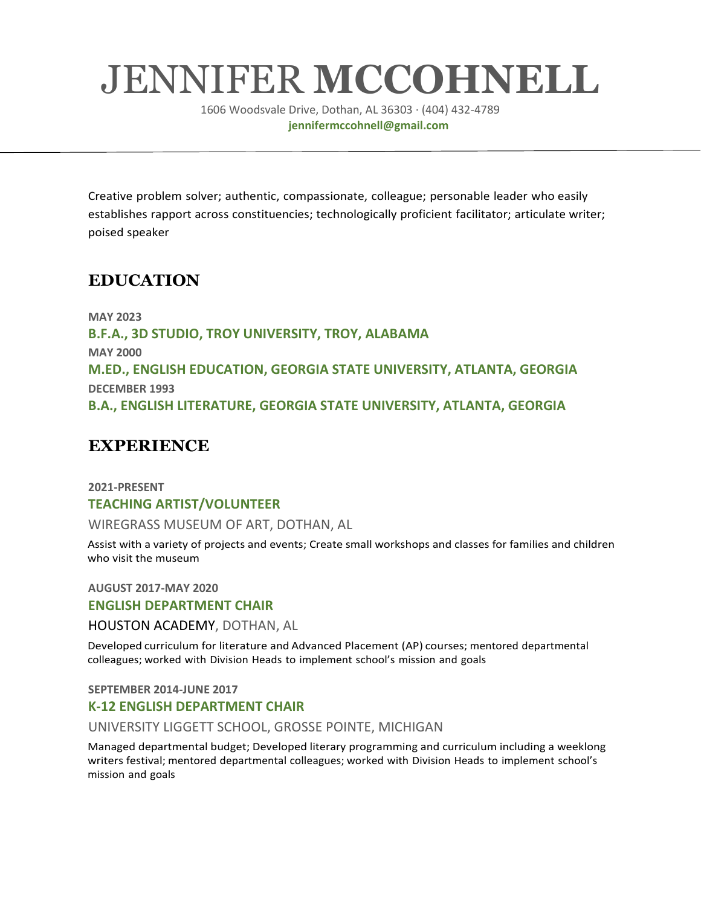# JENNIFER **MCCOHNELL**

1606 Woodsvale Drive, Dothan, AL 36303 · (404) 432-4789 **jennifermccohnell@gmail.com**

Creative problem solver; authentic, compassionate, colleague; personable leader who easily establishes rapport across constituencies; technologically proficient facilitator; articulate writer; poised speaker

## **EDUCATION**

**MAY 2023 B.F.A., 3D STUDIO, TROY UNIVERSITY, TROY, ALABAMA MAY 2000 M.ED., ENGLISH EDUCATION, GEORGIA STATE UNIVERSITY, ATLANTA, GEORGIA DECEMBER 1993 B.A., ENGLISH LITERATURE, GEORGIA STATE UNIVERSITY, ATLANTA, GEORGIA**

## **EXPERIENCE**

### **2021-PRESENT TEACHING ARTIST/VOLUNTEER**

WIREGRASS MUSEUM OF ART, DOTHAN, AL

Assist with a variety of projects and events; Create small workshops and classes for families and children who visit the museum

**AUGUST 2017-MAY 2020 ENGLISH DEPARTMENT CHAIR**

HOUSTON ACADEMY, DOTHAN, AL

Developed curriculum for literature and Advanced Placement (AP) courses; mentored departmental colleagues; worked with Division Heads to implement school's mission and goals

**SEPTEMBER 2014-JUNE 2017**

#### **K-12 ENGLISH DEPARTMENT CHAIR**

UNIVERSITY LIGGETT SCHOOL, GROSSE POINTE, MICHIGAN

Managed departmental budget; Developed literary programming and curriculum including a weeklong writers festival; mentored departmental colleagues; worked with Division Heads to implement school's mission and goals